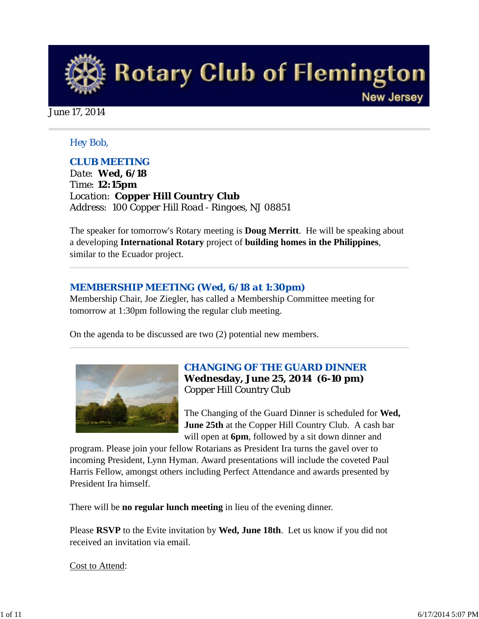

June 17, 2014

#### *Hey Bob,*

#### *CLUB MEETING*

*Date: Wed, 6/18 Time: 12:15pm Location: Copper Hill Country Club Address: 100 Copper Hill Road - Ringoes, NJ 08851* 

The speaker for tomorrow's Rotary meeting is **Doug Merritt**. He will be speaking about a developing **International Rotary** project of **building homes in the Philippines**, similar to the Ecuador project.

#### *MEMBERSHIP MEETING (Wed, 6/18 at 1:30pm)*

Membership Chair, Joe Ziegler, has called a Membership Committee meeting for tomorrow at 1:30pm following the regular club meeting.

On the agenda to be discussed are two (2) potential new members.



### *CHANGING OF THE GUARD DINNER* **Wednesday, June 25, 2014 (6-10 pm)** Copper Hill Country Club

The Changing of the Guard Dinner is scheduled for **Wed, June 25th** at the Copper Hill Country Club. A cash bar will open at **6pm**, followed by a sit down dinner and

program. Please join your fellow Rotarians as President Ira turns the gavel over to incoming President, Lynn Hyman. Award presentations will include the coveted Paul Harris Fellow, amongst others including Perfect Attendance and awards presented by President Ira himself.

There will be **no regular lunch meeting** in lieu of the evening dinner.

Please **RSVP** to the Evite invitation by **Wed, June 18th**. Let us know if you did not received an invitation via email.

Cost to Attend: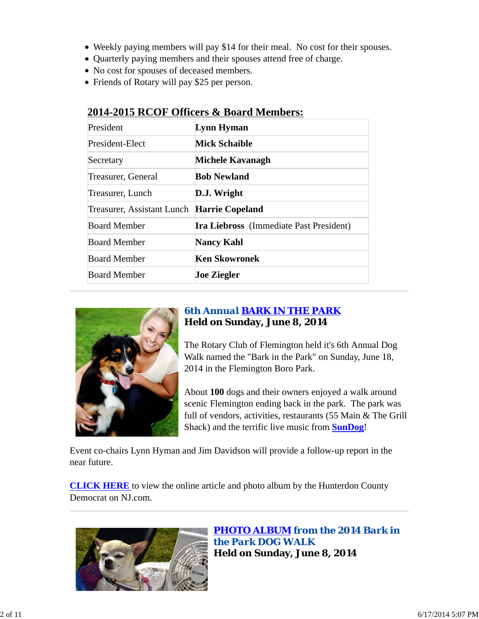- Weekly paying members will pay \$14 for their meal. No cost for their spouses.
- Quarterly paying members and their spouses attend free of charge.
- No cost for spouses of deceased members.
- Friends of Rotary will pay \$25 per person.

| President                                  | Lynn Hyman                                     |
|--------------------------------------------|------------------------------------------------|
| President-Elect                            | <b>Mick Schaible</b>                           |
| Secretary                                  | Michele Kavanagh                               |
| Treasurer, General                         | <b>Bob Newland</b>                             |
| Treasurer, Lunch                           | D.J. Wright                                    |
| Treasurer, Assistant Lunch Harrie Copeland |                                                |
| <b>Board Member</b>                        | <b>Ira Liebross</b> (Immediate Past President) |
| <b>Board Member</b>                        | <b>Nancy Kahl</b>                              |
| <b>Board Member</b>                        | <b>Ken Skowronek</b>                           |
| <b>Board Member</b>                        | <b>Joe Ziegler</b>                             |

## **2014-2015 RCOF Officers & Board Members:**



# *6th Annual BARK IN THE PARK* **Held on Sunday, June 8, 2014**

The Rotary Club of Flemington held it's 6th Annual Dog Walk named the "Bark in the Park" on Sunday, June 18, 2014 in the Flemington Boro Park.

About **100** dogs and their owners enjoyed a walk around scenic Flemington ending back in the park. The park was full of vendors, activities, restaurants (55 Main & The Grill Shack) and the terrific live music from **SunDog**!

Event co-chairs Lynn Hyman and Jim Davidson will provide a follow-up report in the near future.

**CLICK HERE** to view the online article and photo album by the Hunterdon County Democrat on NJ.com.



*PHOTO ALBUM from the 2014 Bark in the Park DOG WALK* **Held on Sunday, June 8, 2014**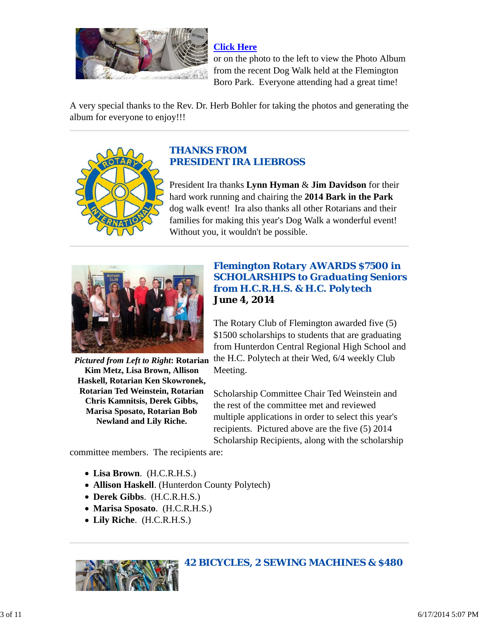

**Click Here**

or on the photo to the left to view the Photo Album from the recent Dog Walk held at the Flemington Boro Park. Everyone attending had a great time!

A very special thanks to the Rev. Dr. Herb Bohler for taking the photos and generating the album for everyone to enjoy!!!



## *THANKS FROM PRESIDENT IRA LIEBROSS*

President Ira thanks **Lynn Hyman** & **Jim Davidson** for their hard work running and chairing the **2014 Bark in the Park** dog walk event! Ira also thanks all other Rotarians and their families for making this year's Dog Walk a wonderful event! Without you, it wouldn't be possible.



**Kim Metz, Lisa Brown, Allison Haskell, Rotarian Ken Skowronek, Rotarian Ted Weinstein, Rotarian Chris Kamnitsis, Derek Gibbs, Marisa Sposato, Rotarian Bob Newland and Lily Riche.**

## *Flemington Rotary AWARDS \$7500 in SCHOLARSHIPS to Graduating Seniors from H.C.R.H.S. & H.C. Polytech* **June 4, 2014**

Pictured from Left to Right: Rotarian the H.C. Polytech at their Wed, 6/4 weekly Club The Rotary Club of Flemington awarded five (5) \$1500 scholarships to students that are graduating from Hunterdon Central Regional High School and Meeting.

> Scholarship Committee Chair Ted Weinstein and the rest of the committee met and reviewed multiple applications in order to select this year's recipients. Pictured above are the five (5) 2014 Scholarship Recipients, along with the scholarship

committee members. The recipients are:

- **Lisa Brown**. (H.C.R.H.S.)
- **Allison Haskell**. (Hunterdon County Polytech)
- **Derek Gibbs**. (H.C.R.H.S.)
- **Marisa Sposato**. (H.C.R.H.S.)
- **Lily Riche**. (H.C.R.H.S.)



*42 BICYCLES, 2 SEWING MACHINES & \$480*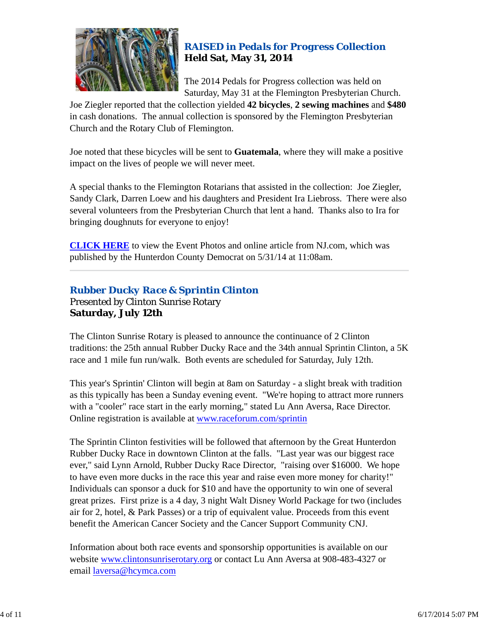

# *RAISED in Pedals for Progress Collection* **Held Sat, May 31, 2014**

The 2014 Pedals for Progress collection was held on Saturday, May 31 at the Flemington Presbyterian Church.

Joe Ziegler reported that the collection yielded **42 bicycles**, **2 sewing machines** and **\$480** in cash donations. The annual collection is sponsored by the Flemington Presbyterian Church and the Rotary Club of Flemington.

Joe noted that these bicycles will be sent to **Guatemala**, where they will make a positive impact on the lives of people we will never meet.

A special thanks to the Flemington Rotarians that assisted in the collection: Joe Ziegler, Sandy Clark, Darren Loew and his daughters and President Ira Liebross. There were also several volunteers from the Presbyterian Church that lent a hand. Thanks also to Ira for bringing doughnuts for everyone to enjoy!

**CLICK HERE** to view the Event Photos and online article from NJ.com, which was published by the Hunterdon County Democrat on 5/31/14 at 11:08am.

## *Rubber Ducky Race & Sprintin Clinton* Presented by Clinton Sunrise Rotary **Saturday, July 12th**

The Clinton Sunrise Rotary is pleased to announce the continuance of 2 Clinton traditions: the 25th annual Rubber Ducky Race and the 34th annual Sprintin Clinton, a 5K race and 1 mile fun run/walk. Both events are scheduled for Saturday, July 12th.

This year's Sprintin' Clinton will begin at 8am on Saturday - a slight break with tradition as this typically has been a Sunday evening event. "We're hoping to attract more runners with a "cooler" race start in the early morning," stated Lu Ann Aversa, Race Director. Online registration is available at www.raceforum.com/sprintin

The Sprintin Clinton festivities will be followed that afternoon by the Great Hunterdon Rubber Ducky Race in downtown Clinton at the falls. "Last year was our biggest race ever," said Lynn Arnold, Rubber Ducky Race Director, "raising over \$16000. We hope to have even more ducks in the race this year and raise even more money for charity!" Individuals can sponsor a duck for \$10 and have the opportunity to win one of several great prizes. First prize is a 4 day, 3 night Walt Disney World Package for two (includes air for 2, hotel, & Park Passes) or a trip of equivalent value. Proceeds from this event benefit the American Cancer Society and the Cancer Support Community CNJ.

Information about both race events and sponsorship opportunities is available on our website www.clintonsunriserotary.org or contact Lu Ann Aversa at 908-483-4327 or email laversa@hcymca.com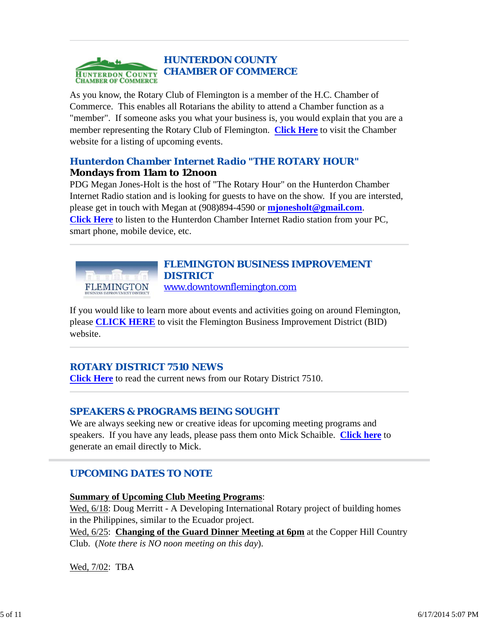

As you know, the Rotary Club of Flemington is a member of the H.C. Chamber of Commerce. This enables all Rotarians the ability to attend a Chamber function as a "member". If someone asks you what your business is, you would explain that you are a member representing the Rotary Club of Flemington. **Click Here** to visit the Chamber website for a listing of upcoming events.

## *Hunterdon Chamber Internet Radio "THE ROTARY HOUR"* **Mondays from 11am to 12noon**

PDG Megan Jones-Holt is the host of "The Rotary Hour" on the Hunterdon Chamber Internet Radio station and is looking for guests to have on the show. If you are intersted, please get in touch with Megan at (908)894-4590 or **mjonesholt@gmail.com**. **Click Here** to listen to the Hunterdon Chamber Internet Radio station from your PC, smart phone, mobile device, etc.



# *FLEMINGTON BUSINESS IMPROVEMENT DISTRICT*

www.downtownflemington.com

If you would like to learn more about events and activities going on around Flemington, please **CLICK HERE** to visit the Flemington Business Improvement District (BID) website.

# *ROTARY DISTRICT 7510 NEWS*

**Click Here** to read the current news from our Rotary District 7510.

## *SPEAKERS & PROGRAMS BEING SOUGHT*

We are always seeking new or creative ideas for upcoming meeting programs and speakers. If you have any leads, please pass them onto Mick Schaible. **Click here** to generate an email directly to Mick.

# *UPCOMING DATES TO NOTE*

**Summary of Upcoming Club Meeting Programs**:

Wed,  $6/18$ : Doug Merritt - A Developing International Rotary project of building homes in the Philippines, similar to the Ecuador project.

Wed, 6/25: **Changing of the Guard Dinner Meeting at 6pm** at the Copper Hill Country Club. (*Note there is NO noon meeting on this day*).

Wed, 7/02: TBA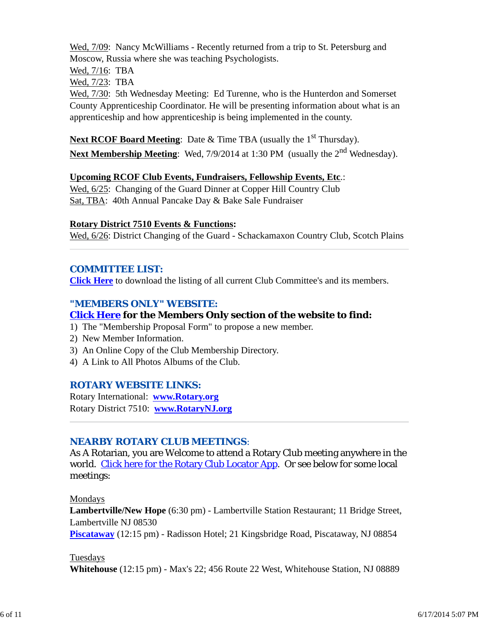Wed, 7/09: Nancy McWilliams - Recently returned from a trip to St. Petersburg and Moscow, Russia where she was teaching Psychologists.

Wed, 7/16: TBA

Wed, 7/23: TBA

Wed, 7/30: 5th Wednesday Meeting: Ed Turenne, who is the Hunterdon and Somerset County Apprenticeship Coordinator. He will be presenting information about what is an apprenticeship and how apprenticeship is being implemented in the county.

Next RCOF Board Meeting: Date & Time TBA (usually the 1<sup>st</sup> Thursday). **Next Membership Meeting**: Wed, 7/9/2014 at 1:30 PM (usually the 2<sup>nd</sup> Wednesday).

#### **Upcoming RCOF Club Events, Fundraisers, Fellowship Events, Etc**.:

Wed, 6/25: Changing of the Guard Dinner at Copper Hill Country Club Sat, TBA: 40th Annual Pancake Day & Bake Sale Fundraiser

#### **Rotary District 7510 Events & Functions:**

Wed, 6/26: District Changing of the Guard - Schackamaxon Country Club, Scotch Plains

#### *COMMITTEE LIST:*

**Click Here** to download the listing of all current Club Committee's and its members.

### *"MEMBERS ONLY" WEBSITE:*

## **Click Here for the Members Only section of the website to find:**

- 1) The "Membership Proposal Form" to propose a new member.
- 2) New Member Information.
- 3) An Online Copy of the Club Membership Directory.
- 4) A Link to All Photos Albums of the Club.

#### *ROTARY WEBSITE LINKS:*

Rotary International: **www.Rotary.org** Rotary District 7510: **www.RotaryNJ.org**

#### *NEARBY ROTARY CLUB MEETINGS:*

As A Rotarian, you are Welcome to attend a Rotary Club meeting anywhere in the world. Click here for the Rotary Club Locator App. Or see below for some local meetings:

Mondays

**Lambertville/New Hope** (6:30 pm) - Lambertville Station Restaurant; 11 Bridge Street, Lambertville NJ 08530 **Piscataway** (12:15 pm) - Radisson Hotel; 21 Kingsbridge Road, Piscataway, NJ 08854

#### Tuesdays

**Whitehouse** (12:15 pm) - Max's 22; 456 Route 22 West, Whitehouse Station, NJ 08889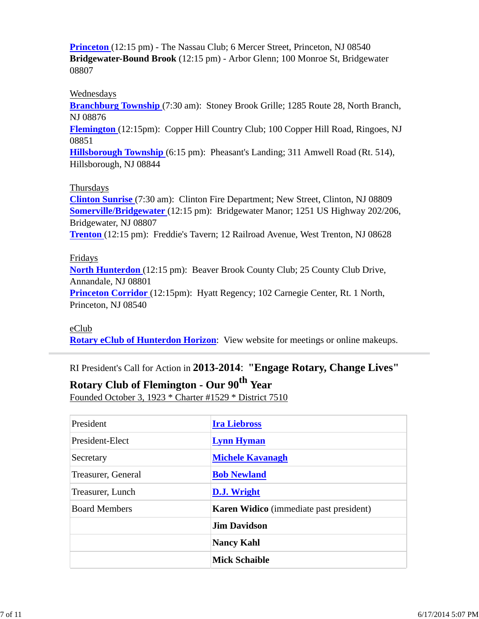**Princeton** (12:15 pm) - The Nassau Club; 6 Mercer Street, Princeton, NJ 08540 **Bridgewater-Bound Brook** (12:15 pm) - Arbor Glenn; 100 Monroe St, Bridgewater 08807

#### Wednesdays

**Branchburg Township** (7:30 am): Stoney Brook Grille; 1285 Route 28, North Branch, NJ 08876

**Flemington** (12:15pm): Copper Hill Country Club; 100 Copper Hill Road, Ringoes, NJ 08851

**Hillsborough Township** (6:15 pm): Pheasant's Landing; 311 Amwell Road (Rt. 514), Hillsborough, NJ 08844

#### Thursdays

**Clinton Sunrise** (7:30 am): Clinton Fire Department; New Street, Clinton, NJ 08809 **Somerville/Bridgewater** (12:15 pm): Bridgewater Manor; 1251 US Highway 202/206, Bridgewater, NJ 08807 **Trenton** (12:15 pm): Freddie's Tavern; 12 Railroad Avenue, West Trenton, NJ 08628

#### Fridays

**North Hunterdon** (12:15 pm): Beaver Brook County Club; 25 County Club Drive, Annandale, NJ 08801 **Princeton Corridor** (12:15pm): Hyatt Regency; 102 Carnegie Center, Rt. 1 North,

Princeton, NJ 08540

#### eClub

**Rotary eClub of Hunterdon Horizon**: View website for meetings or online makeups.

RI President's Call for Action in **2013-2014**: **"Engage Rotary, Change Lives"**

# **Rotary Club of Flemington - Our 90th Year**

Founded October 3, 1923 \* Charter #1529 \* District 7510

| President            | <b>Ira Liebross</b>                            |  |  |
|----------------------|------------------------------------------------|--|--|
| President-Elect      | <b>Lynn Hyman</b>                              |  |  |
| Secretary            | <b>Michele Kavanagh</b>                        |  |  |
| Treasurer, General   | <b>Bob Newland</b>                             |  |  |
| Treasurer, Lunch     | D.J. Wright                                    |  |  |
| <b>Board Members</b> | <b>Karen Widico</b> (immediate past president) |  |  |
|                      | <b>Jim Davidson</b>                            |  |  |
|                      | <b>Nancy Kahl</b>                              |  |  |
|                      | <b>Mick Schaible</b>                           |  |  |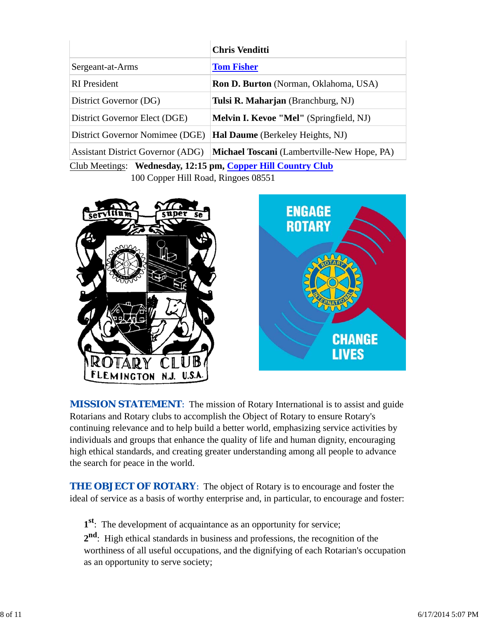|                                                              | <b>Chris Venditti</b>                              |  |  |  |
|--------------------------------------------------------------|----------------------------------------------------|--|--|--|
| Sergeant-at-Arms                                             | <b>Tom Fisher</b>                                  |  |  |  |
| <b>RI</b> President                                          | <b>Ron D. Burton</b> (Norman, Oklahoma, USA)       |  |  |  |
| District Governor (DG)                                       | Tulsi R. Maharjan (Branchburg, NJ)                 |  |  |  |
| District Governor Elect (DGE)                                | <b>Melvin I. Kevoe "Mel"</b> (Springfield, NJ)     |  |  |  |
| District Governor Nomimee (DGE)                              | <b>Hal Daume</b> (Berkeley Heights, NJ)            |  |  |  |
| <b>Assistant District Governor (ADG)</b>                     | <b>Michael Toscani</b> (Lambertville-New Hope, PA) |  |  |  |
| Club Meetings: Wednesday, 12:15 pm, Copper Hill Country Club |                                                    |  |  |  |
| 100 Copper Hill Road, Ringoes 08551                          |                                                    |  |  |  |





**MISSION STATEMENT:** The mission of Rotary International is to assist and guide Rotarians and Rotary clubs to accomplish the Object of Rotary to ensure Rotary's continuing relevance and to help build a better world, emphasizing service activities by individuals and groups that enhance the quality of life and human dignity, encouraging high ethical standards, and creating greater understanding among all people to advance the search for peace in the world.

**THE OBJECT OF ROTARY:** The object of Rotary is to encourage and foster the ideal of service as a basis of worthy enterprise and, in particular, to encourage and foster:

**1st**: The development of acquaintance as an opportunity for service;

**2nd**: High ethical standards in business and professions, the recognition of the worthiness of all useful occupations, and the dignifying of each Rotarian's occupation as an opportunity to serve society;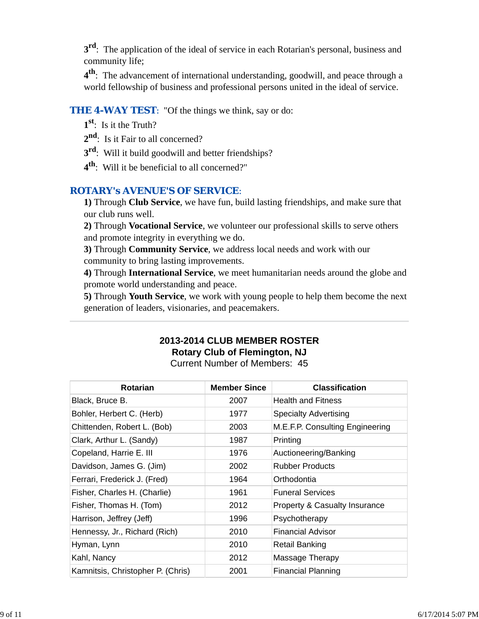**3<sup>rd</sup>**: The application of the ideal of service in each Rotarian's personal, business and community life;

**4th**: The advancement of international understanding, goodwill, and peace through a world fellowship of business and professional persons united in the ideal of service.

#### **THE 4-WAY TEST:** "Of the things we think, say or do:

- **1st**: Is it the Truth?
- 2<sup>nd</sup>: Is it Fair to all concerned?
- **3rd**: Will it build goodwill and better friendships?
- **4th**: Will it be beneficial to all concerned?"

#### *ROTARY's AVENUE'S OF SERVICE*:

**1)** Through **Club Service**, we have fun, build lasting friendships, and make sure that our club runs well.

**2)** Through **Vocational Service**, we volunteer our professional skills to serve others and promote integrity in everything we do.

**3)** Through **Community Service**, we address local needs and work with our community to bring lasting improvements.

**4)** Through **International Service**, we meet humanitarian needs around the globe and promote world understanding and peace.

**5)** Through **Youth Service**, we work with young people to help them become the next generation of leaders, visionaries, and peacemakers.

# **2013-2014 CLUB MEMBER ROSTER Rotary Club of Flemington, NJ**

Current Number of Members: 45

| <b>Rotarian</b>                   | <b>Member Since</b> | <b>Classification</b>           |
|-----------------------------------|---------------------|---------------------------------|
| Black, Bruce B.                   | 2007                | <b>Health and Fitness</b>       |
| Bohler, Herbert C. (Herb)         | 1977                | <b>Specialty Advertising</b>    |
| Chittenden, Robert L. (Bob)       | 2003                | M.E.F.P. Consulting Engineering |
| Clark, Arthur L. (Sandy)          | 1987                | Printing                        |
| Copeland, Harrie E. III           | 1976                | Auctioneering/Banking           |
| Davidson, James G. (Jim)          | 2002                | <b>Rubber Products</b>          |
| Ferrari, Frederick J. (Fred)      | 1964                | Orthodontia                     |
| Fisher, Charles H. (Charlie)      | 1961                | <b>Funeral Services</b>         |
| Fisher, Thomas H. (Tom)           | 2012                | Property & Casualty Insurance   |
| Harrison, Jeffrey (Jeff)          | 1996                | Psychotherapy                   |
| Hennessy, Jr., Richard (Rich)     | 2010                | Financial Advisor               |
| Hyman, Lynn                       | 2010                | Retail Banking                  |
| Kahl, Nancy                       | 2012                | Massage Therapy                 |
| Kamnitsis, Christopher P. (Chris) | 2001                | Financial Planning              |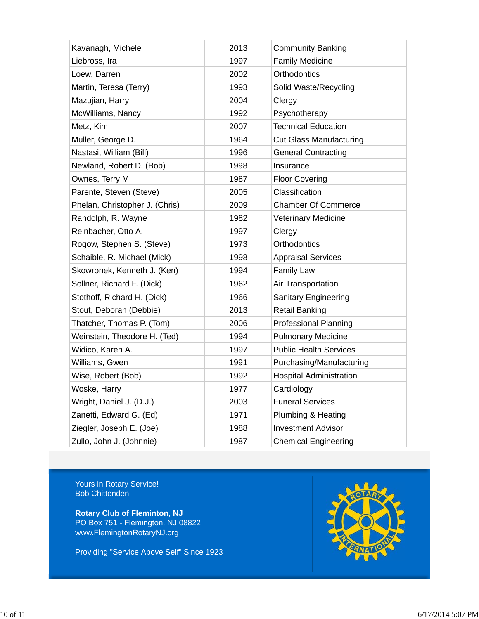| Kavanagh, Michele              | 2013 | <b>Community Banking</b>       |
|--------------------------------|------|--------------------------------|
| Liebross, Ira                  | 1997 | <b>Family Medicine</b>         |
| Loew, Darren                   | 2002 | Orthodontics                   |
| Martin, Teresa (Terry)         | 1993 | Solid Waste/Recycling          |
| Mazujian, Harry                | 2004 | Clergy                         |
| McWilliams, Nancy              | 1992 | Psychotherapy                  |
| Metz, Kim                      | 2007 | <b>Technical Education</b>     |
| Muller, George D.              | 1964 | <b>Cut Glass Manufacturing</b> |
| Nastasi, William (Bill)        | 1996 | <b>General Contracting</b>     |
| Newland, Robert D. (Bob)       | 1998 | Insurance                      |
| Ownes, Terry M.                | 1987 | <b>Floor Covering</b>          |
| Parente, Steven (Steve)        | 2005 | Classification                 |
| Phelan, Christopher J. (Chris) | 2009 | <b>Chamber Of Commerce</b>     |
| Randolph, R. Wayne             | 1982 | <b>Veterinary Medicine</b>     |
| Reinbacher, Otto A.            | 1997 | Clergy                         |
| Rogow, Stephen S. (Steve)      | 1973 | Orthodontics                   |
| Schaible, R. Michael (Mick)    | 1998 | <b>Appraisal Services</b>      |
| Skowronek, Kenneth J. (Ken)    | 1994 | Family Law                     |
| Sollner, Richard F. (Dick)     | 1962 | Air Transportation             |
| Stothoff, Richard H. (Dick)    | 1966 | <b>Sanitary Engineering</b>    |
| Stout, Deborah (Debbie)        | 2013 | <b>Retail Banking</b>          |
| Thatcher, Thomas P. (Tom)      | 2006 | <b>Professional Planning</b>   |
| Weinstein, Theodore H. (Ted)   | 1994 | <b>Pulmonary Medicine</b>      |
| Widico, Karen A.               | 1997 | <b>Public Health Services</b>  |
| Williams, Gwen                 | 1991 | Purchasing/Manufacturing       |
| Wise, Robert (Bob)             | 1992 | <b>Hospital Administration</b> |
| Woske, Harry                   | 1977 | Cardiology                     |
| Wright, Daniel J. (D.J.)       | 2003 | <b>Funeral Services</b>        |
| Zanetti, Edward G. (Ed)        | 1971 | Plumbing & Heating             |
| Ziegler, Joseph E. (Joe)       | 1988 | <b>Investment Advisor</b>      |
| Zullo, John J. (Johnnie)       | 1987 | <b>Chemical Engineering</b>    |

Yours in Rotary Service! Bob Chittenden

**Rotary Club of Fleminton, NJ** PO Box 751 - Flemington, NJ 08822 www.FlemingtonRotaryNJ.org

Providing "Service Above Self" Since 1923